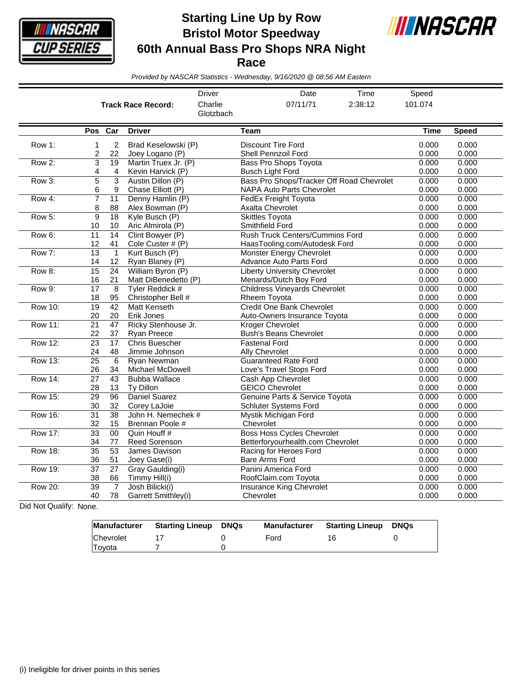

**Starting Line Up by Row Bristol Motor Speedway 60th Annual Bass Pro Shops NRA Night Race**



*Provided by NASCAR Statistics - Wednesday, 9/16/2020 @ 08:56 AM Eastern*

|                |                       |                       | <b>Track Race Record:</b>                    | <b>Driver</b><br>Charlie<br>Glotzbach |                                                                        | Date<br>07/11/71                                                        | Time<br>2:38:12         | Speed<br>101.074        |                |
|----------------|-----------------------|-----------------------|----------------------------------------------|---------------------------------------|------------------------------------------------------------------------|-------------------------------------------------------------------------|-------------------------|-------------------------|----------------|
|                |                       | Pos Car               | <b>Driver</b>                                |                                       | <b>Team</b>                                                            |                                                                         |                         | <b>Time</b>             | <b>Speed</b>   |
| Row 1:         | $\mathbf{1}$<br>2     | 2<br>22               | Brad Keselowski (P)<br>Joey Logano (P)       |                                       | <b>Discount Tire Ford</b><br>Shell Pennzoil Ford                       |                                                                         |                         | 0.000<br>0.000          | 0.000<br>0.000 |
| Row 2:         | $\overline{3}$<br>4   | $\overline{19}$<br>4  | Martin Truex Jr. (P)<br>Kevin Harvick (P)    |                                       | <b>Bass Pro Shops Toyota</b><br><b>Busch Light Ford</b>                |                                                                         |                         | 0.000<br>0.000          | 0.000<br>0.000 |
| Row 3:         | $\overline{5}$<br>6   | 3<br>9                | Austin Dillon (P)<br>Chase Elliott (P)       |                                       | Bass Pro Shops/Tracker Off Road Chevrolet<br>NAPA Auto Parts Chevrolet |                                                                         |                         | 0.000<br>0.000<br>0.000 | 0.000<br>0.000 |
| Row 4:         | $\overline{7}$<br>8   | 11<br>88              | Denny Hamlin (P)<br>Alex Bowman (P)          |                                       |                                                                        | <b>FedEx Freight Toyota</b><br><b>Axalta Chevrolet</b>                  |                         |                         | 0.000<br>0.000 |
| Row 5:         | 9<br>10               | 18<br>10              | Kyle Busch (P)<br>Aric Almirola (P)          |                                       | <b>Skittles Toyota</b><br><b>Smithfield Ford</b>                       |                                                                         | 0.000<br>0.000<br>0.000 | 0.000<br>0.000          |                |
| Row 6:         | $\overline{11}$<br>12 | 14<br>41              | Clint Bowyer (P)<br>Cole Custer # (P)        |                                       |                                                                        | <b>Rush Truck Centers/Cummins Ford</b><br>HaasTooling.com/Autodesk Ford |                         |                         | 0.000<br>0.000 |
| Row 7:         | $\overline{13}$<br>14 | $\mathbf{1}$<br>12    | Kurt Busch (P)<br>Ryan Blaney (P)            |                                       | <b>Advance Auto Parts Ford</b>                                         | <b>Monster Energy Chevrolet</b>                                         |                         | 0.000<br>0.000          | 0.000<br>0.000 |
| Row 8:         | $\overline{15}$<br>16 | $\overline{24}$<br>21 | William Byron (P)<br>Matt DiBenedetto (P)    |                                       | Menards/Dutch Boy Ford                                                 | <b>Liberty University Chevrolet</b>                                     |                         | 0.000<br>0.000          | 0.000<br>0.000 |
| Row 9:         | $\overline{17}$<br>18 | 8<br>95               | <b>Tyler Reddick #</b><br>Christopher Bell # |                                       | Rheem Toyota                                                           | <b>Childress Vineyards Chevrolet</b>                                    |                         | 0.000<br>0.000          | 0.000<br>0.000 |
| <b>Row 10:</b> | $\overline{19}$<br>20 | 42<br>20              | <b>Matt Kenseth</b><br>Erik Jones            |                                       |                                                                        | <b>Credit One Bank Chevrolet</b><br>Auto-Owners Insurance Toyota        |                         | 0.000<br>0.000          | 0.000<br>0.000 |
| <b>Row 11:</b> | $\overline{21}$<br>22 | $\overline{47}$<br>37 | Ricky Stenhouse Jr.<br>Ryan Preece           |                                       | <b>Kroger Chevrolet</b><br><b>Bush's Beans Chevrolet</b>               |                                                                         |                         | 0.000<br>0.000          | 0.000<br>0.000 |
| <b>Row 12:</b> | $\overline{23}$<br>24 | 17<br>48              | <b>Chris Buescher</b><br>Jimmie Johnson      |                                       | <b>Fastenal Ford</b><br>Ally Chevrolet                                 |                                                                         |                         | 0.000<br>0.000          | 0.000<br>0.000 |
| <b>Row 13:</b> | $\overline{25}$<br>26 | $6\phantom{1}6$<br>34 | Rvan Newman<br>Michael McDowell              |                                       | <b>Guaranteed Rate Ford</b><br>Love's Travel Stops Ford                |                                                                         |                         | 0.000<br>0.000          | 0.000<br>0.000 |
| $Row 14$ :     | $\overline{27}$<br>28 | 43<br>13              | <b>Bubba Wallace</b><br>Ty Dillon            |                                       | Cash App Chevrolet<br><b>GEICO Chevrolet</b>                           |                                                                         |                         | 0.000<br>0.000          | 0.000<br>0.000 |
| <b>Row 15:</b> | $\overline{29}$<br>30 | 96<br>32              | Daniel Suarez<br>Corey LaJoie                |                                       | <b>Schluter Systems Ford</b>                                           | Genuine Parts & Service Toyota                                          |                         | 0.000<br>0.000          | 0.000<br>0.000 |
| <b>Row 16:</b> | $\overline{31}$<br>32 | $\overline{38}$<br>15 | John H. Nemechek #<br>Brennan Poole #        |                                       | Mystik Michigan Ford<br>Chevrolet                                      |                                                                         |                         | 0.000<br>0.000          | 0.000<br>0.000 |
| <b>Row 17:</b> | $\overline{33}$<br>34 | 00<br>77              | Quin Houff #<br><b>Reed Sorenson</b>         |                                       |                                                                        | <b>Boss Hoss Cycles Chevrolet</b><br>Betterforyourhealth.com Chevrolet  |                         | 0.000<br>0.000          | 0.000<br>0.000 |
| <b>Row 18:</b> | $\overline{35}$<br>36 | $\overline{53}$<br>51 | James Davison<br>Joey Gase(i)                |                                       | Racing for Heroes Ford<br><b>Bare Arms Ford</b>                        |                                                                         |                         | 0.000<br>0.000          | 0.000<br>0.000 |
| <b>Row 19:</b> | $\overline{37}$<br>38 | $\overline{27}$<br>66 | Gray Gaulding(i)<br>Timmy Hill(i)            |                                       | Panini America Ford<br>RoofClaim.com Toyota                            |                                                                         |                         | 0.000<br>0.000          | 0.000<br>0.000 |
| Row 20:        | 39<br>40              | $\overline{7}$<br>78  | Josh Bilicki(i)<br>Garrett Smithley(i)       |                                       | Chevrolet                                                              | Insurance King Chevrolet                                                |                         | 0.000<br>0.000          | 0.000<br>0.000 |

Did Not Qualify: None.

|               | Manufacturer Starting Lineup DNQs | Manufacturer | <b>Starting Lineup DNQs</b> |  |
|---------------|-----------------------------------|--------------|-----------------------------|--|
| Chevrolet     |                                   | Ford         | 16                          |  |
| <b>Tovota</b> |                                   |              |                             |  |